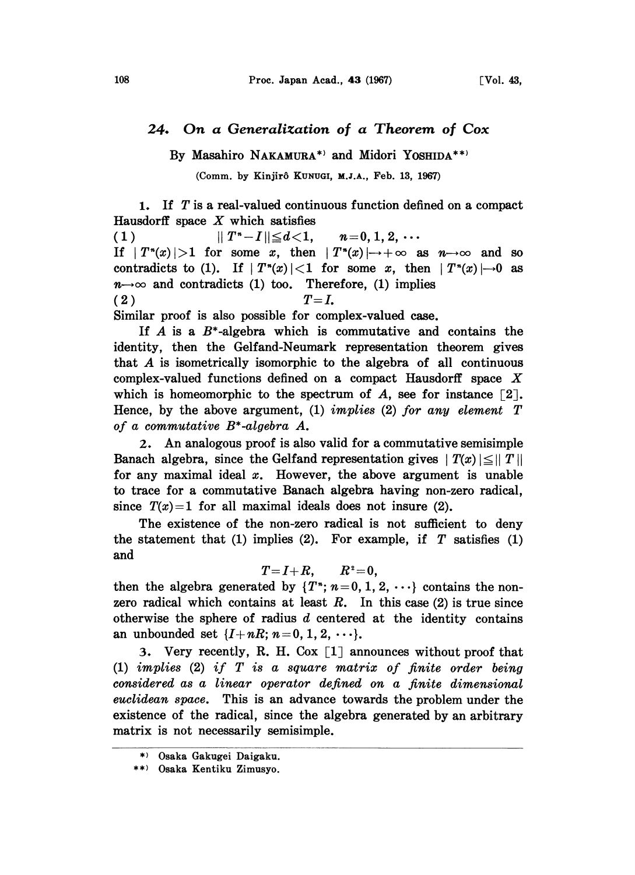## 24. On a Generalization of a Theorem of Cox

By Masahiro NAKAMURA\*<sup>2</sup> and Midori YOSHIDA\*\*<sup>2</sup>

(Comm. by Kinjirô KUNUGI, M.J.A., Feb. 13, 1967)

1. If T is a real-valued continuous function defined on a compact Hausdorff space  $X$  which satisfies

(1)  $||T^{n}-I|| \leq d < 1, \quad n=0, 1, 2, \cdots$ If  $|T^*(x)|>1$  for some x, then  $|T^*(x)| \rightarrow +\infty$  as  $n \rightarrow \infty$  and so contradicts to (1). If  $|T^*(x)| < 1$  for some x, then  $|T^*(x)| \rightarrow 0$  as  $n \rightarrow \infty$  and contradicts (1) too. Therefore, (1) implies  $(T=I,$ 

Similar proof is also possible for complex-valued case.

If A is a  $B^*$ -algebra which is commutative and contains the identity, then the Gelfand-Neumark representation theorem gives that A is isometrically isomorphic to the algebra of all continuous complex-valued functions defined on <sup>a</sup> compact Hausdorff space X which is homeomorphic to the spectrum of A, see for instance  $\lceil 2 \rceil$ . Hence, by the above argument, (1) implies (2) for any element  $T$ of a commutative B\*-algebra A.

2. An analogous proof is also valid for a commutative semisimple Banach algebra, since the Gelfand representation gives  $|T(x)| \leq ||T||$ for any maximal ideal  $x$ . However, the above argument is unable to trace for a commutative Banach algebra having non-zero radical, since  $T(x)=1$  for all maximal ideals does not insure (2).

The existence of the non-zero radical is not sufficient to deny the statement that (1) implies (2). For example, if  $T$  satisfies (1) and

 $T=I+R$ ,  $R^2=0$ ,

then the algebra generated by  $\{T^*\colon n=0, 1, 2, \cdots\}$  contains the nonzero radical which contains at least  $R$ . In this case (2) is true since otherwise the sphere of radius  $d$  centered at the identity contains an unbounded set  $\{I+nR; n=0, 1, 2, \cdots\}.$ 

3. Very recently, R. H. Cox  $\lceil 1 \rceil$  announces without proof that (1) implies (2) if T is a square matriz of finite order being considered as a linear operator defined on a finite dimensional euclidean space. This is an advance towards the problem under the existence of the radical, since the algebra generated by an arbitrary matrix is not necessarily semisimple.

<sup>\*</sup> Osaka Gakugei Daigaku.

<sup>\*\*</sup> Osaka Kentiku Zimusyo.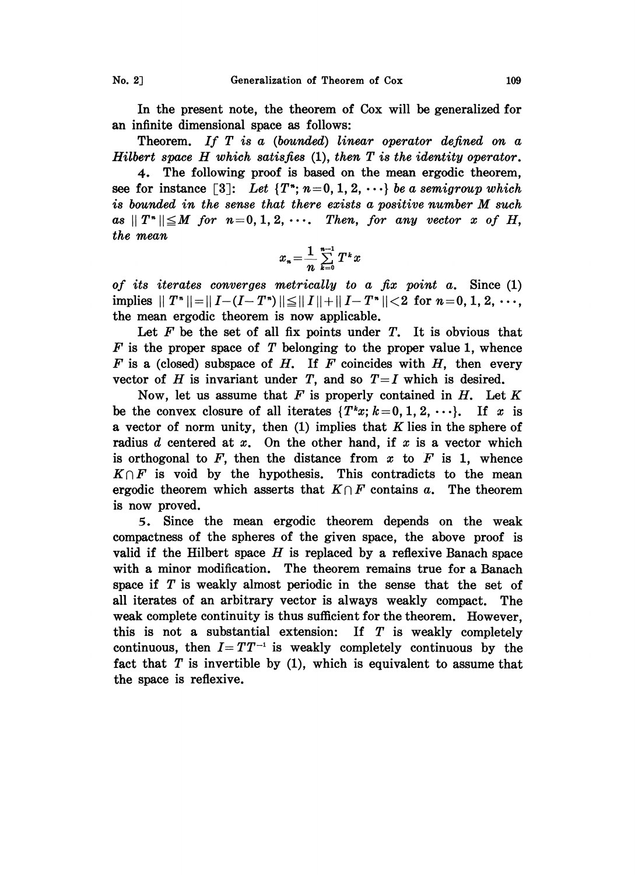In the present note, the theorem of Cox will be generalized for an infinite dimensional space as follows:

Theorem. If T is a (bounded) linear operator defined on a Hilbert space  $H$  which satisfies  $(1)$ , then  $T$  is the identity operator.

4. The following proof is based on the mean ergodic theorem, see for instance [3]: Let  $\{T^*; n=0, 1, 2, \cdots\}$  be a semigroup which is bounded in the sense that there exists <sup>a</sup> positive number M such as  $||T^*|| \leq M$  for  $n=0, 1, 2, \cdots$ . Then, for any vector x of H, the mean

$$
x_n = \frac{1}{n} \sum_{k=0}^{n-1} T^k x
$$

of its iterates converges metrically to a fix point a. Since (1) implies  $||T^*|| = ||I - (I - T^*)|| \le ||I|| + ||I - T^*|| < 2$  for  $n = 0, 1, 2, \dots$ , the mean ergodic theorem is now applicable.

Let  $F$  be the set of all fix points under  $T$ . It is obvious that  $F$  is the proper space of  $T$  belonging to the proper value 1, whence  $F$  is a (closed) subspace of  $H$ . If  $F$  coincides with  $H$ , then every vector of H is invariant under T, and so  $T=I$  which is desired.

Now, let us assume that  $F$  is properly contained in  $H$ . Let  $K$ be the convex closure of all iterates  $\{T^kx; k=0, 1, 2, \cdots\}$ . If x is a vector of norm unity, then  $(1)$  implies that K lies in the sphere of radius  $d$  centered at  $x$ . On the other hand, if  $x$  is a vector which is orthogonal to  $F$ , then the distance from  $x$  to  $F$  is 1, whence  $K \cap F$  is void by the hypothesis. This contradicts to the mean ergodic theorem which asserts that  $K \cap F$  contains a. The theorem is now proved.

5. Since the mean ergodic theorem depends on the weak compactness of the spheres of the given space, the above proof is valid if the Hilbert space  $H$  is replaced by a reflexive Banach space with a minor modification. The theorem remains true for a Banach space if  $T$  is weakly almost periodic in the sense that the set of all iterates of an arbitrary vector is always weakly compact. The weak complete continuity is thus sufficient for the theorem. However, this is not a substantial extension: If  $T$  is weakly completely continuous, then  $I = TT^{-1}$  is weakly completely continuous by the continuous, then  $I = TT^{-1}$  is weakly completely continuous by the fact that T is invertible by (1), which is equivalent to assume that the space is reflexive.